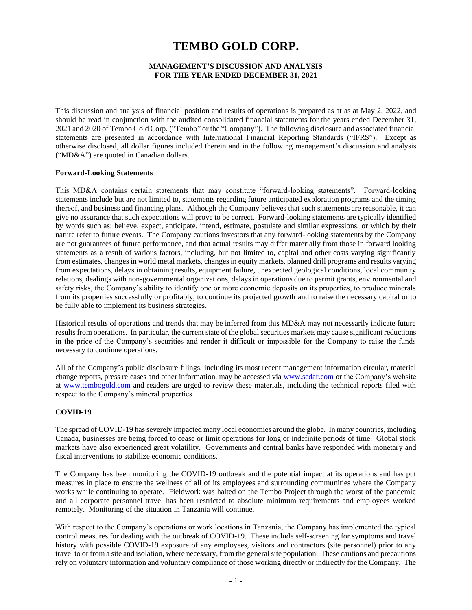# **TEMBO GOLD CORP.**

## **MANAGEMENT'S DISCUSSION AND ANALYSIS FOR THE YEAR ENDED DECEMBER 31, 2021**

This discussion and analysis of financial position and results of operations is prepared as at as at May 2, 2022, and should be read in conjunction with the audited consolidated financial statements for the years ended December 31, 2021 and 2020 of Tembo Gold Corp. ("Tembo" or the "Company"). The following disclosure and associated financial statements are presented in accordance with International Financial Reporting Standards ("IFRS"). Except as otherwise disclosed, all dollar figures included therein and in the following management's discussion and analysis ("MD&A") are quoted in Canadian dollars.

#### **Forward-Looking Statements**

This MD&A contains certain statements that may constitute "forward-looking statements". Forward-looking statements include but are not limited to, statements regarding future anticipated exploration programs and the timing thereof, and business and financing plans. Although the Company believes that such statements are reasonable, it can give no assurance that such expectations will prove to be correct. Forward-looking statements are typically identified by words such as: believe, expect, anticipate, intend, estimate, postulate and similar expressions, or which by their nature refer to future events. The Company cautions investors that any forward-looking statements by the Company are not guarantees of future performance, and that actual results may differ materially from those in forward looking statements as a result of various factors, including, but not limited to, capital and other costs varying significantly from estimates, changes in world metal markets, changes in equity markets, planned drill programs and results varying from expectations, delays in obtaining results, equipment failure, unexpected geological conditions, local community relations, dealings with non-governmental organizations, delays in operations due to permit grants, environmental and safety risks, the Company's ability to identify one or more economic deposits on its properties, to produce minerals from its properties successfully or profitably, to continue its projected growth and to raise the necessary capital or to be fully able to implement its business strategies.

Historical results of operations and trends that may be inferred from this MD&A may not necessarily indicate future results from operations. In particular, the current state of the global securities markets may cause significant reductions in the price of the Company's securities and render it difficult or impossible for the Company to raise the funds necessary to continue operations.

All of the Company's public disclosure filings, including its most recent management information circular, material change reports, press releases and other information, may be accessed via [www.sedar.com](http://www.sedar.com/) or the Company's website at [www.tembogold.com](http://www.tembogold.com/) and readers are urged to review these materials, including the technical reports filed with respect to the Company's mineral properties.

# **COVID-19**

The spread of COVID-19 has severely impacted many local economies around the globe. In many countries, including Canada, businesses are being forced to cease or limit operations for long or indefinite periods of time. Global stock markets have also experienced great volatility. Governments and central banks have responded with monetary and fiscal interventions to stabilize economic conditions.

The Company has been monitoring the COVID-19 outbreak and the potential impact at its operations and has put measures in place to ensure the wellness of all of its employees and surrounding communities where the Company works while continuing to operate. Fieldwork was halted on the Tembo Project through the worst of the pandemic and all corporate personnel travel has been restricted to absolute minimum requirements and employees worked remotely. Monitoring of the situation in Tanzania will continue.

With respect to the Company's operations or work locations in Tanzania, the Company has implemented the typical control measures for dealing with the outbreak of COVID-19. These include self-screening for symptoms and travel history with possible COVID-19 exposure of any employees, visitors and contractors (site personnel) prior to any travel to or from a site and isolation, where necessary, from the general site population. These cautions and precautions rely on voluntary information and voluntary compliance of those working directly or indirectly for the Company. The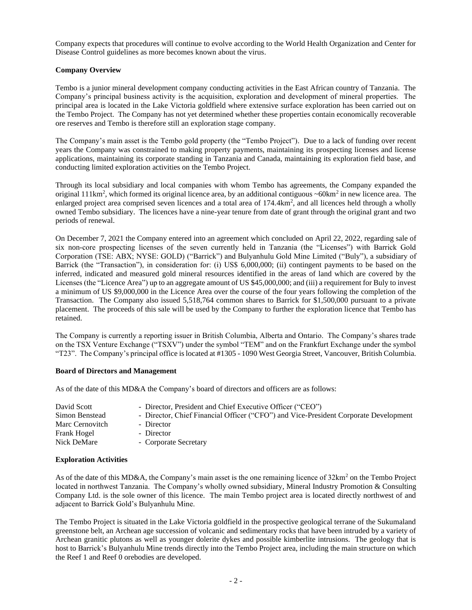Company expects that procedures will continue to evolve according to the World Health Organization and Center for Disease Control guidelines as more becomes known about the virus.

# **Company Overview**

Tembo is a junior mineral development company conducting activities in the East African country of Tanzania. The Company's principal business activity is the acquisition, exploration and development of mineral properties. The principal area is located in the Lake Victoria goldfield where extensive surface exploration has been carried out on the Tembo Project. The Company has not yet determined whether these properties contain economically recoverable ore reserves and Tembo is therefore still an exploration stage company.

The Company's main asset is the Tembo gold property (the "Tembo Project"). Due to a lack of funding over recent years the Company was constrained to making property payments, maintaining its prospecting licenses and license applications, maintaining its corporate standing in Tanzania and Canada, maintaining its exploration field base, and conducting limited exploration activities on the Tembo Project.

Through its local subsidiary and local companies with whom Tembo has agreements, the Company expanded the original 111km<sup>2</sup>, which formed its original licence area, by an additional contiguous  $\sim 60 \text{km}^2$  in new licence area. The enlarged project area comprised seven licences and a total area of 174.4km<sup>2</sup>, and all licences held through a wholly owned Tembo subsidiary. The licences have a nine-year tenure from date of grant through the original grant and two periods of renewal.

On December 7, 2021 the Company entered into an agreement which concluded on April 22, 2022, regarding sale of six non-core prospecting licenses of the seven currently held in Tanzania (the "Licenses") with Barrick Gold Corporation (TSE: ABX; NYSE: GOLD) ("Barrick") and Bulyanhulu Gold Mine Limited ("Buly"), a subsidiary of Barrick (the "Transaction"), in consideration for: (i) US\$ 6,000,000; (ii) contingent payments to be based on the inferred, indicated and measured gold mineral resources identified in the areas of land which are covered by the Licenses (the "Licence Area") up to an aggregate amount of US \$45,000,000; and (iii) a requirement for Buly to invest a minimum of US \$9,000,000 in the Licence Area over the course of the four years following the completion of the Transaction. The Company also issued 5,518,764 common shares to Barrick for \$1,500,000 pursuant to a private placement. The proceeds of this sale will be used by the Company to further the exploration licence that Tembo has retained.

The Company is currently a reporting issuer in British Columbia, Alberta and Ontario. The Company's shares trade on the TSX Venture Exchange ("TSXV") under the symbol "TEM" and on the Frankfurt Exchange under the symbol "T23". The Company's principal office is located at #1305 - 1090 West Georgia Street, Vancouver, British Columbia.

# **Board of Directors and Management**

As of the date of this MD&A the Company's board of directors and officers are as follows:

| David Scott<br>Simon Benstead | - Director, President and Chief Executive Officer ("CEO")<br>- Director, Chief Financial Officer ("CFO") and Vice-President Corporate Development |
|-------------------------------|---------------------------------------------------------------------------------------------------------------------------------------------------|
| Marc Cernovitch               | - Director                                                                                                                                        |
| Frank Hogel                   | - Director                                                                                                                                        |
| Nick DeMare                   | - Corporate Secretary                                                                                                                             |

# **Exploration Activities**

As of the date of this MD&A, the Company's main asset is the one remaining licence of 32km<sup>2</sup> on the Tembo Project located in northwest Tanzania. The Company's wholly owned subsidiary, Mineral Industry Promotion & Consulting Company Ltd. is the sole owner of this licence. The main Tembo project area is located directly northwest of and adjacent to Barrick Gold's Bulyanhulu Mine.

The Tembo Project is situated in the Lake Victoria goldfield in the prospective geological terrane of the Sukumaland greenstone belt, an Archean age succession of volcanic and sedimentary rocks that have been intruded by a variety of Archean granitic plutons as well as younger dolerite dykes and possible kimberlite intrusions. The geology that is host to Barrick's Bulyanhulu Mine trends directly into the Tembo Project area, including the main structure on which the Reef 1 and Reef 0 orebodies are developed.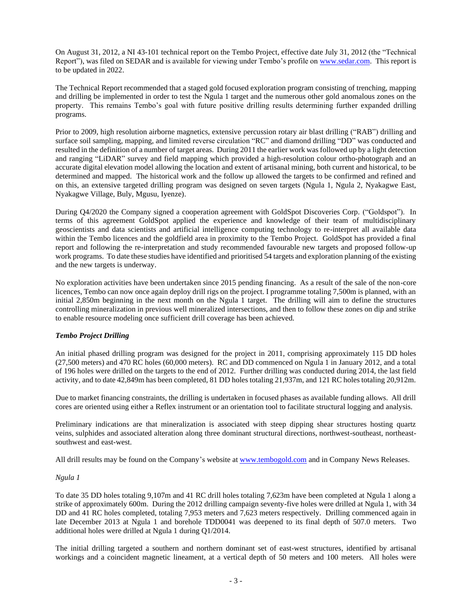On August 31, 2012, a NI 43-101 technical report on the Tembo Project, effective date July 31, 2012 (the "Technical Report"), was filed on SEDAR and is available for viewing under Tembo's profile on [www.sedar.com.](http://www.sedar.com/) This report is to be updated in 2022.

The Technical Report recommended that a staged gold focused exploration program consisting of trenching, mapping and drilling be implemented in order to test the Ngula 1 target and the numerous other gold anomalous zones on the property. This remains Tembo's goal with future positive drilling results determining further expanded drilling programs.

Prior to 2009, high resolution airborne magnetics, extensive percussion rotary air blast drilling ("RAB") drilling and surface soil sampling, mapping, and limited reverse circulation "RC" and diamond drilling "DD" was conducted and resulted in the definition of a number of target areas. During 2011 the earlier work was followed up by a light detection and ranging "LiDAR" survey and field mapping which provided a high-resolution colour ortho-photograph and an accurate digital elevation model allowing the location and extent of artisanal mining, both current and historical, to be determined and mapped. The historical work and the follow up allowed the targets to be confirmed and refined and on this, an extensive targeted drilling program was designed on seven targets (Ngula 1, Ngula 2, Nyakagwe East, Nyakagwe Village, Buly, Mgusu, Iyenze).

During Q4/2020 the Company signed a cooperation agreement with GoldSpot Discoveries Corp. ("Goldspot"). In terms of this agreement GoldSpot applied the experience and knowledge of their team of multidisciplinary geoscientists and data scientists and artificial intelligence computing technology to re-interpret all available data within the Tembo licences and the goldfield area in proximity to the Tembo Project. GoldSpot has provided a final report and following the re-interpretation and study recommended favourable new targets and proposed follow-up work programs. To date these studies have identified and prioritised 54 targets and exploration planning of the existing and the new targets is underway.

No exploration activities have been undertaken since 2015 pending financing. As a result of the sale of the non-core licences, Tembo can now once again deploy drill rigs on the project. I programme totaling 7,500m is planned, with an initial 2,850m beginning in the next month on the Ngula 1 target. The drilling will aim to define the structures controlling mineralization in previous well mineralized intersections, and then to follow these zones on dip and strike to enable resource modeling once sufficient drill coverage has been achieved.

# *Tembo Project Drilling*

An initial phased drilling program was designed for the project in 2011, comprising approximately 115 DD holes (27,500 meters) and 470 RC holes (60,000 meters). RC and DD commenced on Ngula 1 in January 2012, and a total of 196 holes were drilled on the targets to the end of 2012. Further drilling was conducted during 2014, the last field activity, and to date 42,849m has been completed, 81 DD holes totaling 21,937m, and 121 RC holes totaling 20,912m.

Due to market financing constraints, the drilling is undertaken in focused phases as available funding allows. All drill cores are oriented using either a Reflex instrument or an orientation tool to facilitate structural logging and analysis.

Preliminary indications are that mineralization is associated with steep dipping shear structures hosting quartz veins, sulphides and associated alteration along three dominant structural directions, northwest-southeast, northeastsouthwest and east-west.

All drill results may be found on the Company's website at [www.tembogold.com](http://www.tembogold.com/) and in Company News Releases.

# *Ngula 1*

To date 35 DD holes totaling 9,107m and 41 RC drill holes totaling 7,623m have been completed at Ngula 1 along a strike of approximately 600m. During the 2012 drilling campaign seventy-five holes were drilled at Ngula 1, with 34 DD and 41 RC holes completed, totaling 7,953 meters and 7,623 meters respectively. Drilling commenced again in late December 2013 at Ngula 1 and borehole TDD0041 was deepened to its final depth of 507.0 meters. Two additional holes were drilled at Ngula 1 during Q1/2014.

The initial drilling targeted a southern and northern dominant set of east-west structures, identified by artisanal workings and a coincident magnetic lineament, at a vertical depth of 50 meters and 100 meters. All holes were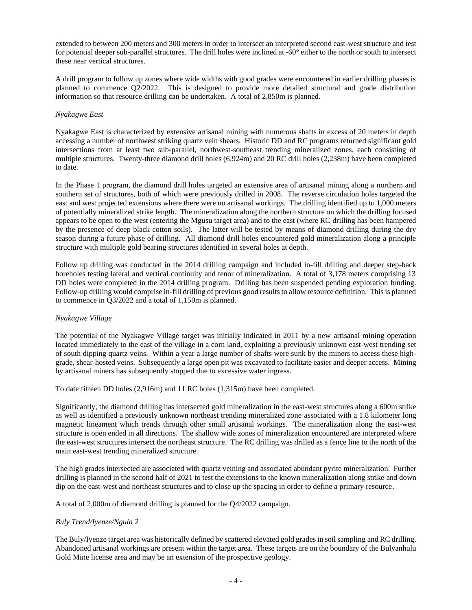extended to between 200 meters and 300 meters in order to intersect an interpreted second east-west structure and test for potential deeper sub-parallel structures. The drill holes were inclined at -60° either to the north or south to intersect these near vertical structures.

A drill program to follow up zones where wide widths with good grades were encountered in earlier drilling phases is planned to commence Q2/2022. This is designed to provide more detailed structural and grade distribution information so that resource drilling can be undertaken. A total of 2,850m is planned.

# *Nyakagwe East*

Nyakagwe East is characterized by extensive artisanal mining with numerous shafts in excess of 20 meters in depth accessing a number of northwest striking quartz vein shears. Historic DD and RC programs returned significant gold intersections from at least two sub-parallel, northwest-southeast trending mineralized zones, each consisting of multiple structures. Twenty-three diamond drill holes (6,924m) and 20 RC drill holes (2,238m) have been completed to date.

In the Phase 1 program, the diamond drill holes targeted an extensive area of artisanal mining along a northern and southern set of structures, both of which were previously drilled in 2008. The reverse circulation holes targeted the east and west projected extensions where there were no artisanal workings. The drilling identified up to 1,000 meters of potentially mineralized strike length. The mineralization along the northern structure on which the drilling focused appears to be open to the west (entering the Mgusu target area) and to the east (where RC drilling has been hampered by the presence of deep black cotton soils). The latter will be tested by means of diamond drilling during the dry season during a future phase of drilling. All diamond drill holes encountered gold mineralization along a principle structure with multiple gold bearing structures identified in several holes at depth.

Follow up drilling was conducted in the 2014 drilling campaign and included in-fill drilling and deeper step-back boreholes testing lateral and vertical continuity and tenor of mineralization. A total of 3,178 meters comprising 13 DD holes were completed in the 2014 drilling program. Drilling has been suspended pending exploration funding. Follow-up drilling would comprise in-fill drilling of previous good results to allow resource definition. This is planned to commence in Q3/2022 and a total of 1,150m is planned.

# *Nyakagwe Village*

The potential of the Nyakagwe Village target was initially indicated in 2011 by a new artisanal mining operation located immediately to the east of the village in a corn land, exploiting a previously unknown east-west trending set of south dipping quartz veins. Within a year a large number of shafts were sunk by the miners to access these highgrade, shear-hosted veins. Subsequently a large open pit was excavated to facilitate easier and deeper access. Mining by artisanal miners has subsequently stopped due to excessive water ingress.

To date fifteen DD holes (2,916m) and 11 RC holes (1,315m) have been completed.

Significantly, the diamond drilling has intersected gold mineralization in the east-west structures along a 600m strike as well as identified a previously unknown northeast trending mineralized zone associated with a 1.8 kilometer long magnetic lineament which trends through other small artisanal workings. The mineralization along the east-west structure is open ended in all directions. The shallow wide zones of mineralization encountered are interpreted where the east-west structures intersect the northeast structure. The RC drilling was drilled as a fence line to the north of the main east-west trending mineralized structure.

The high grades intersected are associated with quartz veining and associated abundant pyrite mineralization. Further drilling is planned in the second half of 2021 to test the extensions to the known mineralization along strike and down dip on the east-west and northeast structures and to close up the spacing in order to define a primary resource.

A total of 2,000m of diamond drilling is planned for the Q4/2022 campaign.

# *Buly Trend/Iyenze/Ngula 2*

The Buly/Iyenze target area was historically defined by scattered elevated gold grades in soil sampling and RC drilling. Abandoned artisanal workings are present within the target area. These targets are on the boundary of the Bulyanhulu Gold Mine license area and may be an extension of the prospective geology.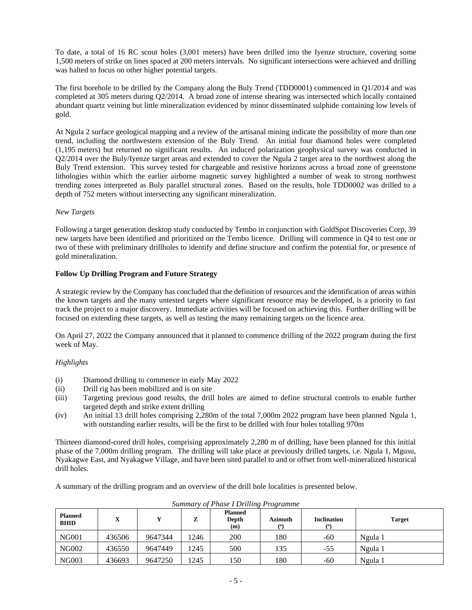To date, a total of 16 RC scout holes (3,001 meters) have been drilled into the Iyenze structure, covering some 1,500 meters of strike on lines spaced at 200 meters intervals. No significant intersections were achieved and drilling was halted to focus on other higher potential targets.

The first borehole to be drilled by the Company along the Buly Trend (TDD0001) commenced in Q1/2014 and was completed at 305 meters during Q2/2014. A broad zone of intense shearing was intersected which locally contained abundant quartz veining but little mineralization evidenced by minor disseminated sulphide containing low levels of gold.

At Ngula 2 surface geological mapping and a review of the artisanal mining indicate the possibility of more than one trend, including the northwestern extension of the Buly Trend. An initial four diamond holes were completed (1,195 meters) but returned no significant results. An induced polarization geophysical survey was conducted in Q2/2014 over the Buly/Iyenze target areas and extended to cover the Ngula 2 target area to the northwest along the Buly Trend extension. This survey tested for chargeable and resistive horizons across a broad zone of greenstone lithologies within which the earlier airborne magnetic survey highlighted a number of weak to strong northwest trending zones interpreted as Buly parallel structural zones. Based on the results, hole TDD0002 was drilled to a depth of 752 meters without intersecting any significant mineralization.

# *New Targets*

Following a target generation desktop study conducted by Tembo in conjunction with GoldSpot Discoveries Corp, 39 new targets have been identified and prioritized on the Tembo licence. Drilling will commence in Q4 to test one or two of these with preliminary drillholes to identify and define structure and confirm the potential for, or presence of gold mineralization.

# **Follow Up Drilling Program and Future Strategy**

A strategic review by the Company has concluded that the definition of resources and the identification of areas within the known targets and the many untested targets where significant resource may be developed, is a priority to fast track the project to a major discovery. Immediate activities will be focused on achieving this. Further drilling will be focused on extending these targets, as well as testing the many remaining targets on the licence area.

On April 27, 2022 the Company announced that it planned to commence drilling of the 2022 program during the first week of May.

# *Highlights*

- (i) Diamond drilling to commence in early May 2022
- (ii) Drill rig has been mobilized and is on site
- (iii) Targeting previous good results, the drill holes are aimed to define structural controls to enable further targeted depth and strike extent drilling
- (iv) An initial 13 drill holes comprising 2,280m of the total 7,000m 2022 program have been planned Ngula 1, with outstanding earlier results, will be the first to be drilled with four holes totalling 970m

Thirteen diamond-cored drill holes, comprising approximately 2,280 m of drilling, have been planned for this initial phase of the 7,000m drilling program. The drilling will take place at previously drilled targets, i.e. Ngula 1, Mgusu, Nyakagwe East, and Nyakagwe Village, and have been sited parallel to and or offset from well-mineralized historical drill holes.

A summary of the drilling program and an overview of the drill hole localities is presented below.

| <b>Planned</b><br><b>BHID</b> | X      | Y       | z    | <b>Planned</b><br>Depth<br>(m) | <b>Azimuth</b><br>(0) | <b>Inclination</b><br>(0) | <b>Target</b> |
|-------------------------------|--------|---------|------|--------------------------------|-----------------------|---------------------------|---------------|
| <b>NG001</b>                  | 436506 | 9647344 | 1246 | 200                            | 180                   | -60                       | Ngula 1       |
| <b>NG002</b>                  | 436550 | 9647449 | 1245 | 500                            | 135                   | -55                       | Ngula 1       |
| <b>NG003</b>                  | 436693 | 9647250 | 1245 | 150                            | 180                   | -60                       | Ngula 1       |

*Summary of Phase I Drilling Programme*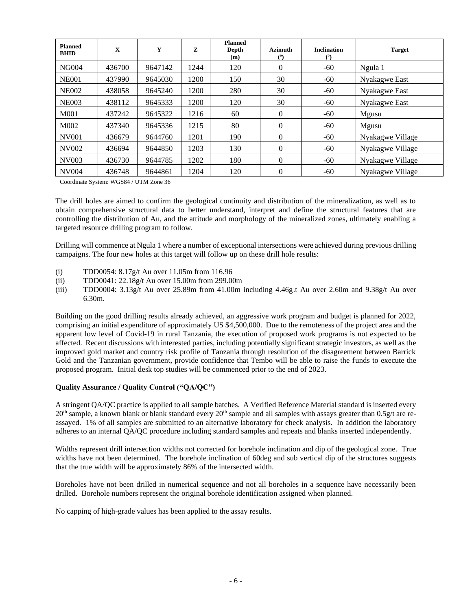| <b>Planned</b><br><b>BHID</b> | $\mathbf{X}$ | Y       | Z    | <b>Planned</b><br>Depth<br>(m) | <b>Azimuth</b><br>(°) | <b>Inclination</b><br>(°) | <b>Target</b>    |
|-------------------------------|--------------|---------|------|--------------------------------|-----------------------|---------------------------|------------------|
| <b>NG004</b>                  | 436700       | 9647142 | 1244 | 120                            | $\Omega$              | -60                       | Ngula 1          |
| <b>NE001</b>                  | 437990       | 9645030 | 1200 | 150                            | 30                    | -60                       | Nyakagwe East    |
| <b>NE002</b>                  | 438058       | 9645240 | 1200 | 280                            | 30                    | $-60$                     | Nyakagwe East    |
| <b>NE003</b>                  | 438112       | 9645333 | 1200 | 120                            | 30                    | $-60$                     | Nyakagwe East    |
| M001                          | 437242       | 9645322 | 1216 | 60                             | $\Omega$              | $-60$                     | Mgusu            |
| M002                          | 437340       | 9645336 | 1215 | 80                             | $\Omega$              | -60                       | Mgusu            |
| <b>NV001</b>                  | 436679       | 9644760 | 1201 | 190                            | $\Omega$              | $-60$                     | Nyakagwe Village |
| <b>NV002</b>                  | 436694       | 9644850 | 1203 | 130                            | $\Omega$              | $-60$                     | Nyakagwe Village |
| NV003                         | 436730       | 9644785 | 1202 | 180                            | $\theta$              | $-60$                     | Nyakagwe Village |
| <b>NV004</b>                  | 436748       | 9644861 | 1204 | 120                            | $\theta$              | $-60$                     | Nyakagwe Village |

Coordinate System: WGS84 / UTM Zone 36

The drill holes are aimed to confirm the geological continuity and distribution of the mineralization, as well as to obtain comprehensive structural data to better understand, interpret and define the structural features that are controlling the distribution of Au, and the attitude and morphology of the mineralized zones, ultimately enabling a targeted resource drilling program to follow.

Drilling will commence at Ngula 1 where a number of exceptional intersections were achieved during previous drilling campaigns. The four new holes at this target will follow up on these drill hole results:

- (i) TDD0054: 8.17g/t Au over 11.05m from 116.96
- (ii) TDD0041: 22.18g/t Au over 15.00m from 299.00m
- (iii) TDD0004: 3.13g/t Au over 25.89m from 41.00m including 4.46g.t Au over 2.60m and 9.38g/t Au over 6.30m.

Building on the good drilling results already achieved, an aggressive work program and budget is planned for 2022, comprising an initial expenditure of approximately US \$4,500,000. Due to the remoteness of the project area and the apparent low level of Covid-19 in rural Tanzania, the execution of proposed work programs is not expected to be affected. Recent discussions with interested parties, including potentially significant strategic investors, as well as the improved gold market and country risk profile of Tanzania through resolution of the disagreement between Barrick Gold and the Tanzanian government, provide confidence that Tembo will be able to raise the funds to execute the proposed program. Initial desk top studies will be commenced prior to the end of 2023.

# **Quality Assurance / Quality Control ("QA/QC")**

A stringent QA/QC practice is applied to all sample batches. A Verified Reference Material standard is inserted every  $20<sup>th</sup>$  sample, a known blank or blank standard every  $20<sup>th</sup>$  sample and all samples with assays greater than 0.5g/t are reassayed. 1% of all samples are submitted to an alternative laboratory for check analysis. In addition the laboratory adheres to an internal QA/QC procedure including standard samples and repeats and blanks inserted independently.

Widths represent drill intersection widths not corrected for borehole inclination and dip of the geological zone. True widths have not been determined. The borehole inclination of 60deg and sub vertical dip of the structures suggests that the true width will be approximately 86% of the intersected width.

Boreholes have not been drilled in numerical sequence and not all boreholes in a sequence have necessarily been drilled. Borehole numbers represent the original borehole identification assigned when planned.

No capping of high-grade values has been applied to the assay results.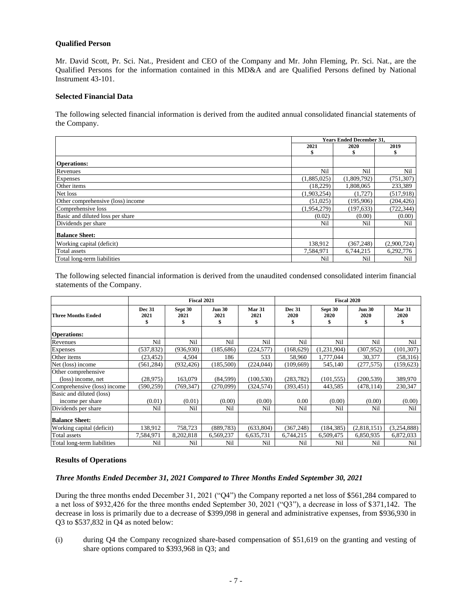## **Qualified Person**

Mr. David Scott, Pr. Sci. Nat., President and CEO of the Company and Mr. John Fleming, Pr. Sci. Nat., are the Qualified Persons for the information contained in this MD&A and are Qualified Persons defined by National Instrument 43-101.

### **Selected Financial Data**

The following selected financial information is derived from the audited annual consolidated financial statements of the Company.

|                                   | <b>Years Ended December 31.</b> |             |             |
|-----------------------------------|---------------------------------|-------------|-------------|
|                                   | 2021<br>2020                    |             | 2019        |
|                                   |                                 |             |             |
| <b>Operations:</b>                |                                 |             |             |
| Revenues                          | Nil                             | Nil         | Nil         |
| Expenses                          | (1,885,025)                     | (1,809,792) | (751, 307)  |
| Other items                       | (18,229)                        | 1,808,065   | 233,389     |
| Net loss                          | (1,903,254)                     | (1,727)     | (517,918)   |
| Other comprehensive (loss) income | (51,025)                        | (195,906)   | (204, 426)  |
| Comprehensive loss                | (1,954,279)                     | (197, 633)  | (722, 344)  |
| Basic and diluted loss per share  | (0.02)                          | (0.00)      | (0.00)      |
| Dividends per share               | Nil                             | Nil         | Nil         |
| <b>Balance Sheet:</b>             |                                 |             |             |
| Working capital (deficit)         | 138,912                         | (367, 248)  | (2,900,724) |
| Total assets                      | 7,584,971                       | 6,744,215   | 6,292,776   |
| Total long-term liabilities       | Nil                             | Nil         | Nil         |

The following selected financial information is derived from the unaudited condensed consolidated interim financial statements of the Company.

|                             | Fiscal 2021                 |                 |                             |                      | <b>Fiscal 2020</b>    |                       |                       |                      |
|-----------------------------|-----------------------------|-----------------|-----------------------------|----------------------|-----------------------|-----------------------|-----------------------|----------------------|
| <b>Three Months Ended</b>   | <b>Dec 31</b><br>2021<br>\$ | Sept 30<br>2021 | <b>Jun 30</b><br>2021<br>\$ | Mar 31<br>2021<br>\$ | <b>Dec 31</b><br>2020 | Sept 30<br>2020<br>\$ | <b>Jun 30</b><br>2020 | Mar 31<br>2020<br>\$ |
| <b>Operations:</b>          |                             |                 |                             |                      |                       |                       |                       |                      |
| Revenues                    | Nil                         | Nil             | Nil                         | Nil                  | Nil                   | Nil                   | Nil                   | Nil                  |
| Expenses                    | (537, 832)                  | (936, 930)      | (185, 686)                  | (224, 577)           | (168, 629)            | (1,231,904)           | (307, 952)            | (101, 307)           |
| Other items                 | (23, 452)                   | 4,504           | 186                         | 533                  | 58,960                | 1,777,044             | 30,377                | (58,316)             |
| Net (loss) income           | (561, 284)                  | (932, 426)      | (185,500)                   | (224, 044)           | (109.669)             | 545,140               | (277, 575)            | (159, 623)           |
| Other comprehensive         |                             |                 |                             |                      |                       |                       |                       |                      |
| (loss) income, net          | (28, 975)                   | 163,079         | (84, 599)                   | (100, 530)           | (283, 782)            | (101, 555)            | (200, 539)            | 389,970              |
| Comprehensive (loss) income | (590, 259)                  | (769, 347)      | (270.099)                   | (324, 574)           | (393, 451)            | 443,585               | (478, 114)            | 230,347              |
| Basic and diluted (loss)    |                             |                 |                             |                      |                       |                       |                       |                      |
| income per share            | (0.01)                      | (0.01)          | (0.00)                      | (0.00)               | 0.00                  | (0.00)                | (0.00)                | (0.00)               |
| Dividends per share         | Nil                         | Nil             | Nil                         | Nil                  | Nil                   | Nil                   | Nil                   | Nil                  |
| <b>Balance Sheet:</b>       |                             |                 |                             |                      |                       |                       |                       |                      |
| Working capital (deficit)   | 138,912                     | 758,723         | (889, 783)                  | (633, 804)           | (367, 248)            | (184, 385)            | (2,818,151)           | (3,254,888)          |
| Total assets                | 7,584,971                   | 8,202,818       | 6,569,237                   | 6,635,731            | 6,744,215             | 6,509,475             | 6,850,935             | 6,872,033            |
| Total long-term liabilities | Nil                         | Nil             | Nil                         | Nil                  | Nil                   | Nil                   | Nil                   | Nil                  |

## **Results of Operations**

#### *Three Months Ended December 31, 2021 Compared to Three Months Ended September 30, 2021*

During the three months ended December 31, 2021 ("Q4") the Company reported a net loss of \$561,284 compared to a net loss of \$932,426 for the three months ended September 30, 2021 ("Q3"), a decrease in loss of \$371,142. The decrease in loss is primarily due to a decrease of \$399,098 in general and administrative expenses, from \$936,930 in Q3 to \$537,832 in Q4 as noted below:

(i) during Q4 the Company recognized share-based compensation of \$51,619 on the granting and vesting of share options compared to \$393,968 in Q3; and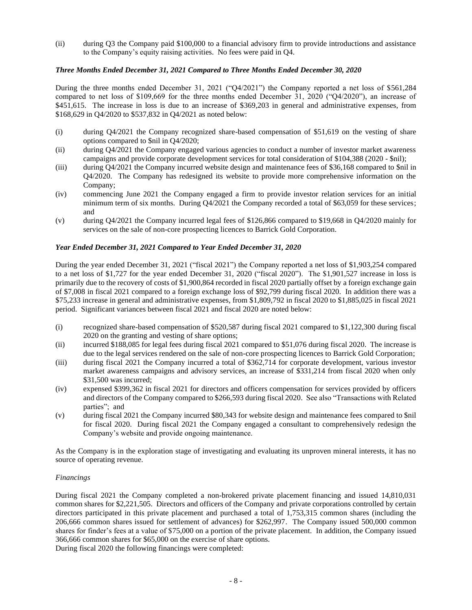(ii) during Q3 the Company paid \$100,000 to a financial advisory firm to provide introductions and assistance to the Company's equity raising activities. No fees were paid in Q4.

# *Three Months Ended December 31, 2021 Compared to Three Months Ended December 30, 2020*

During the three months ended December 31, 2021 ("Q4/2021") the Company reported a net loss of \$561,284 compared to net loss of \$109,669 for the three months ended December 31, 2020 ("Q4/2020"), an increase of \$451,615. The increase in loss is due to an increase of \$369,203 in general and administrative expenses, from \$168,629 in Q4/2020 to \$537,832 in Q4/2021 as noted below:

- (i) during Q4/2021 the Company recognized share-based compensation of \$51,619 on the vesting of share options compared to \$nil in Q4/2020;
- (ii) during Q4/2021 the Company engaged various agencies to conduct a number of investor market awareness campaigns and provide corporate development services for total consideration of \$104,388 (2020 - \$nil);
- (iii) during Q4/2021 the Company incurred website design and maintenance fees of \$36,168 compared to \$nil in Q4/2020. The Company has redesigned its website to provide more comprehensive information on the Company;
- (iv) commencing June 2021 the Company engaged a firm to provide investor relation services for an initial minimum term of six months. During Q4/2021 the Company recorded a total of \$63,059 for these services; and
- (v) during Q4/2021 the Company incurred legal fees of \$126,866 compared to \$19,668 in Q4/2020 mainly for services on the sale of non-core prospecting licences to Barrick Gold Corporation.

# *Year Ended December 31, 2021 Compared to Year Ended December 31, 2020*

During the year ended December 31, 2021 ("fiscal 2021") the Company reported a net loss of \$1,903,254 compared to a net loss of \$1,727 for the year ended December 31, 2020 ("fiscal 2020"). The \$1,901,527 increase in loss is primarily due to the recovery of costs of \$1,900,864 recorded in fiscal 2020 partially offset by a foreign exchange gain of \$7,008 in fiscal 2021 compared to a foreign exchange loss of \$92,799 during fiscal 2020. In addition there was a \$75,233 increase in general and administrative expenses, from \$1,809,792 in fiscal 2020 to \$1,885,025 in fiscal 2021 period. Significant variances between fiscal 2021 and fiscal 2020 are noted below:

- (i) recognized share-based compensation of \$520,587 during fiscal 2021 compared to \$1,122,300 during fiscal 2020 on the granting and vesting of share options;
- (ii) incurred \$188,085 for legal fees during fiscal 2021 compared to \$51,076 during fiscal 2020. The increase is due to the legal services rendered on the sale of non-core prospecting licences to Barrick Gold Corporation;
- (iii) during fiscal 2021 the Company incurred a total of \$362,714 for corporate development, various investor market awareness campaigns and advisory services, an increase of \$331,214 from fiscal 2020 when only \$31,500 was incurred;
- (iv) expensed \$399,362 in fiscal 2021 for directors and officers compensation for services provided by officers and directors of the Company compared to \$266,593 during fiscal 2020. See also "Transactions with Related parties"; and
- (v) during fiscal 2021 the Company incurred \$80,343 for website design and maintenance fees compared to \$nil for fiscal 2020. During fiscal 2021 the Company engaged a consultant to comprehensively redesign the Company's website and provide ongoing maintenance.

As the Company is in the exploration stage of investigating and evaluating its unproven mineral interests, it has no source of operating revenue.

# *Financings*

During fiscal 2021 the Company completed a non-brokered private placement financing and issued 14,810,031 common shares for \$2,221,505. Directors and officers of the Company and private corporations controlled by certain directors participated in this private placement and purchased a total of 1,753,315 common shares (including the 206,666 common shares issued for settlement of advances) for \$262,997. The Company issued 500,000 common shares for finder's fees at a value of \$75,000 on a portion of the private placement. In addition, the Company issued 366,666 common shares for \$65,000 on the exercise of share options.

During fiscal 2020 the following financings were completed: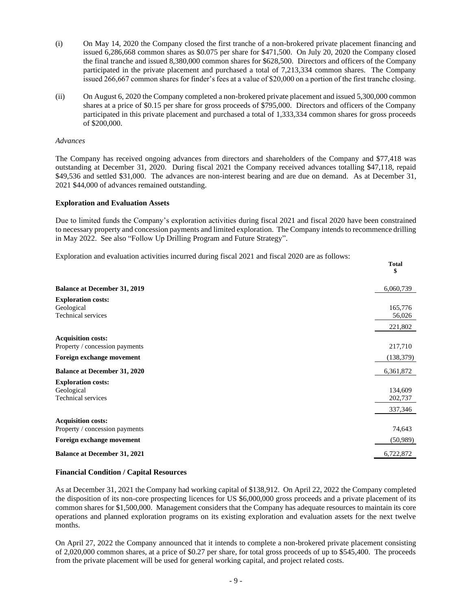- (i) On May 14, 2020 the Company closed the first tranche of a non-brokered private placement financing and issued 6,286,668 common shares as \$0.075 per share for \$471,500. On July 20, 2020 the Company closed the final tranche and issued 8,380,000 common shares for \$628,500. Directors and officers of the Company participated in the private placement and purchased a total of 7,213,334 common shares. The Company issued 266,667 common shares for finder's fees at a value of \$20,000 on a portion of the first tranche closing.
- (ii) On August 6, 2020 the Company completed a non-brokered private placement and issued 5,300,000 common shares at a price of \$0.15 per share for gross proceeds of \$795,000. Directors and officers of the Company participated in this private placement and purchased a total of 1,333,334 common shares for gross proceeds of \$200,000.

#### *Advances*

The Company has received ongoing advances from directors and shareholders of the Company and \$77,418 was outstanding at December 31, 2020. During fiscal 2021 the Company received advances totalling \$47,118, repaid \$49,536 and settled \$31,000. The advances are non-interest bearing and are due on demand. As at December 31, 2021 \$44,000 of advances remained outstanding.

#### **Exploration and Evaluation Assets**

Due to limited funds the Company's exploration activities during fiscal 2021 and fiscal 2020 have been constrained to necessary property and concession payments and limited exploration. The Company intends to recommence drilling in May 2022. See also "Follow Up Drilling Program and Future Strategy".

**Total**

Exploration and evaluation activities incurred during fiscal 2021 and fiscal 2020 are as follows:

|                                         | \$         |
|-----------------------------------------|------------|
| <b>Balance at December 31, 2019</b>     | 6,060,739  |
|                                         |            |
| <b>Exploration costs:</b><br>Geological | 165,776    |
| <b>Technical services</b>               | 56,026     |
|                                         | 221,802    |
| <b>Acquisition costs:</b>               |            |
| Property / concession payments          | 217,710    |
| Foreign exchange movement               | (138, 379) |
| <b>Balance at December 31, 2020</b>     | 6,361,872  |
| <b>Exploration costs:</b>               |            |
| Geological                              | 134,609    |
| <b>Technical services</b>               | 202,737    |
|                                         | 337,346    |
| <b>Acquisition costs:</b>               |            |
| Property / concession payments          | 74,643     |
| Foreign exchange movement               | (50, 989)  |
| <b>Balance at December 31, 2021</b>     | 6,722,872  |

#### **Financial Condition / Capital Resources**

As at December 31, 2021 the Company had working capital of \$138,912. On April 22, 2022 the Company completed the disposition of its non-core prospecting licences for US \$6,000,000 gross proceeds and a private placement of its common shares for \$1,500,000. Management considers that the Company has adequate resources to maintain its core operations and planned exploration programs on its existing exploration and evaluation assets for the next twelve months.

On April 27, 2022 the Company announced that it intends to complete a non-brokered private placement consisting of 2,020,000 common shares, at a price of \$0.27 per share, for total gross proceeds of up to \$545,400. The proceeds from the private placement will be used for general working capital, and project related costs.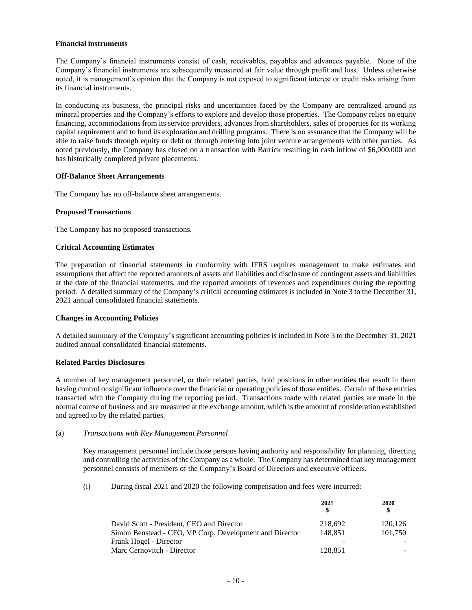#### **Financial instruments**

The Company's financial instruments consist of cash, receivables, payables and advances payable. None of the Company's financial instruments are subsequently measured at fair value through profit and loss. Unless otherwise noted, it is management's opinion that the Company is not exposed to significant interest or credit risks arising from its financial instruments.

In conducting its business, the principal risks and uncertainties faced by the Company are centralized around its mineral properties and the Company's efforts to explore and develop those properties. The Company relies on equity financing, accommodations from its service providers, advances from shareholders, sales of properties for its working capital requirement and to fund its exploration and drilling programs. There is no assurance that the Company will be able to raise funds through equity or debt or through entering into joint venture arrangements with other parties. As noted previously, the Company has closed on a transaction with Barrick resulting in cash inflow of \$6,000,000 and has historically completed private placements.

## **Off-Balance Sheet Arrangements**

The Company has no off-balance sheet arrangements.

## **Proposed Transactions**

The Company has no proposed transactions.

## **Critical Accounting Estimates**

The preparation of financial statements in conformity with IFRS requires management to make estimates and assumptions that affect the reported amounts of assets and liabilities and disclosure of contingent assets and liabilities at the date of the financial statements, and the reported amounts of revenues and expenditures during the reporting period. A detailed summary of the Company's critical accounting estimates is included in Note 3 to the December 31, 2021 annual consolidated financial statements.

# **Changes in Accounting Policies**

A detailed summary of the Company's significant accounting policies is included in Note 3 to the December 31, 2021 audited annual consolidated financial statements.

## **Related Parties Disclosures**

A number of key management personnel, or their related parties, hold positions in other entities that result in them having control or significant influence over the financial or operating policies of those entities. Certain of these entities transacted with the Company during the reporting period. Transactions made with related parties are made in the normal course of business and are measured at the exchange amount, which is the amount of consideration established and agreed to by the related parties.

#### (a) *Transactions with Key Management Personnel*

Key management personnel include those persons having authority and responsibility for planning, directing and controlling the activities of the Company as a whole. The Company has determined that key management personnel consists of members of the Company's Board of Directors and executive officers.

(i) During fiscal 2021 and 2020 the following compensation and fees were incurred:

|                                                         | 2021                     | 2020    |  |
|---------------------------------------------------------|--------------------------|---------|--|
|                                                         | S                        | S       |  |
| David Scott - President, CEO and Director               | 218.692                  | 120.126 |  |
| Simon Benstead - CFO, VP Corp. Development and Director | 148.851                  | 101.750 |  |
| Frank Hogel - Director                                  | $\overline{\phantom{a}}$ |         |  |
| Marc Cernovitch - Director                              | 128,851                  |         |  |